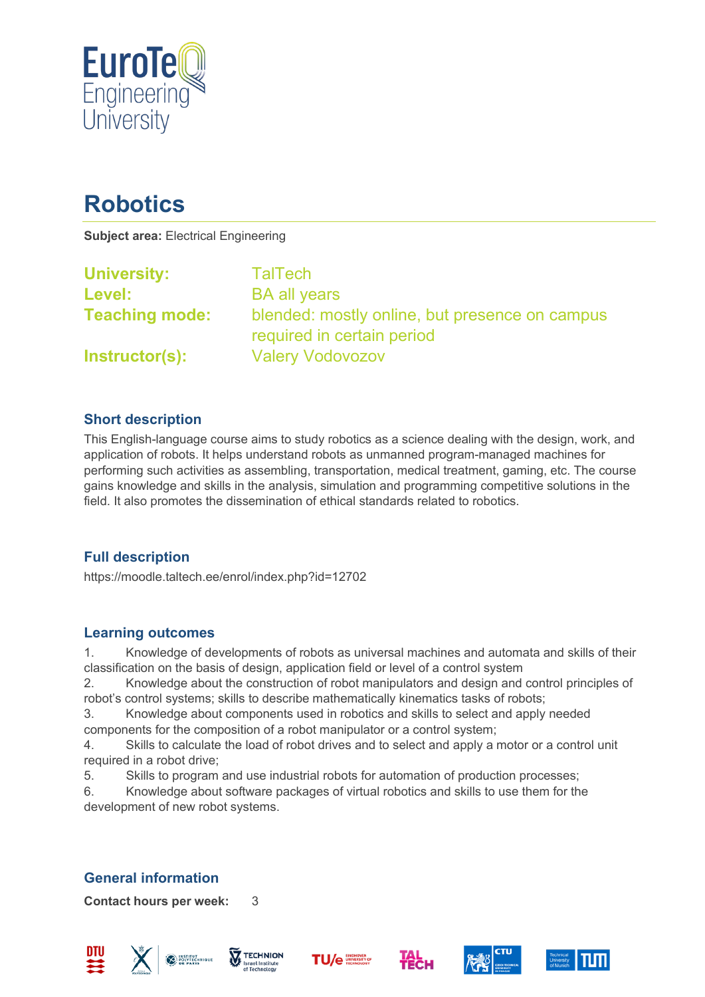

# **Robotics**

**Subject area:** Electrical Engineering

| <b>University:</b>    | TalTech                                                                      |
|-----------------------|------------------------------------------------------------------------------|
| Level:                | <b>BA all years</b>                                                          |
| <b>Teaching mode:</b> | blended: mostly online, but presence on campus<br>required in certain period |
| Instructor(s):        | <b>Valery Vodovozov</b>                                                      |

### **Short description**

This English-language course aims to study robotics as a science dealing with the design, work, and application of robots. It helps understand robots as unmanned program-managed machines for performing such activities as assembling, transportation, medical treatment, gaming, etc. The course gains knowledge and skills in the analysis, simulation and programming competitive solutions in the field. It also promotes the dissemination of ethical standards related to robotics.

## **Full description**

https://moodle.taltech.ee/enrol/index.php?id=12702

#### **Learning outcomes**

1. Knowledge of developments of robots as universal machines and automata and skills of their classification on the basis of design, application field or level of a control system

2. Knowledge about the construction of robot manipulators and design and control principles of robot's control systems; skills to describe mathematically kinematics tasks of robots;

3. Knowledge about components used in robotics and skills to select and apply needed components for the composition of a robot manipulator or a control system;

4. Skills to calculate the load of robot drives and to select and apply a motor or a control unit required in a robot drive;

5. Skills to program and use industrial robots for automation of production processes;

6. Knowledge about software packages of virtual robotics and skills to use them for the development of new robot systems.

# **General information**

**Contact hours per week:** 3











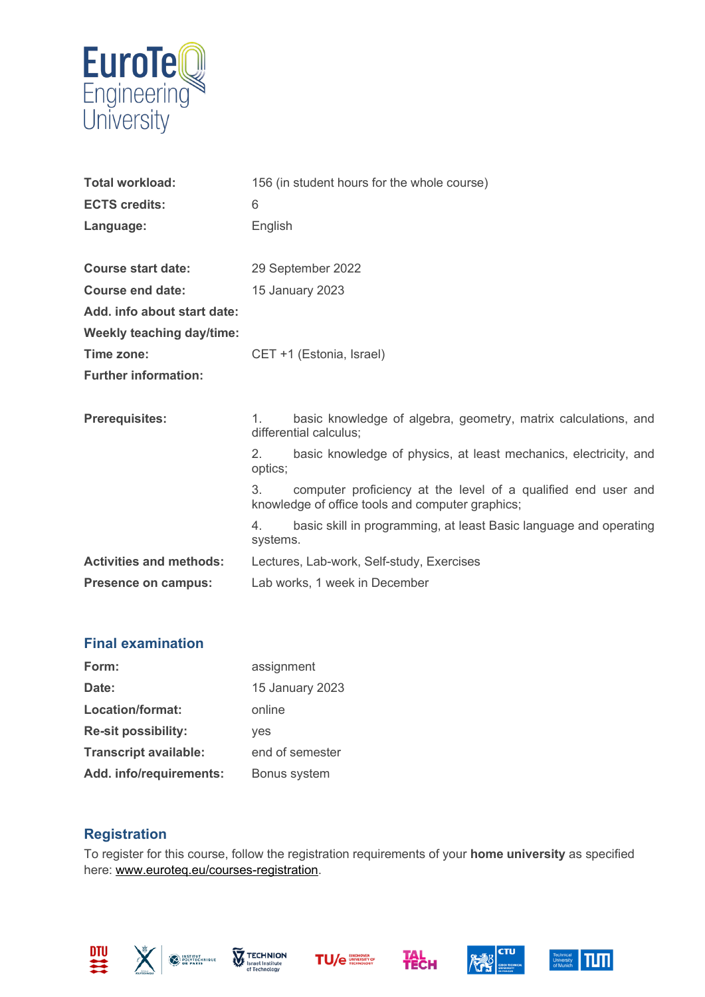

| <b>Total workload:</b><br><b>ECTS credits:</b><br>Language: | 156 (in student hours for the whole course)<br>6<br>English                                                             |  |
|-------------------------------------------------------------|-------------------------------------------------------------------------------------------------------------------------|--|
| <b>Course start date:</b>                                   | 29 September 2022                                                                                                       |  |
| Course end date:                                            | 15 January 2023                                                                                                         |  |
| Add. info about start date:                                 |                                                                                                                         |  |
| <b>Weekly teaching day/time:</b>                            |                                                                                                                         |  |
| Time zone:                                                  | CET +1 (Estonia, Israel)                                                                                                |  |
| <b>Further information:</b>                                 |                                                                                                                         |  |
| <b>Prerequisites:</b>                                       | basic knowledge of algebra, geometry, matrix calculations, and<br>1.<br>differential calculus;                          |  |
|                                                             | 2.<br>basic knowledge of physics, at least mechanics, electricity, and<br>optics;                                       |  |
|                                                             | 3.<br>computer proficiency at the level of a qualified end user and<br>knowledge of office tools and computer graphics; |  |
|                                                             | basic skill in programming, at least Basic language and operating<br>4.<br>systems.                                     |  |
| <b>Activities and methods:</b>                              | Lectures, Lab-work, Self-study, Exercises                                                                               |  |
| Presence on campus:                                         | Lab works, 1 week in December                                                                                           |  |

## **Final examination**

| Form:                        | assignment      |
|------------------------------|-----------------|
| Date:                        | 15 January 2023 |
| <b>Location/format:</b>      | online          |
| <b>Re-sit possibility:</b>   | yes             |
| <b>Transcript available:</b> | end of semester |
| Add. info/requirements:      | Bonus system    |

#### **Registration**

To register for this course, follow the registration requirements of your **home university** as specified here: [www.euroteq.eu/courses-registration.](http://www.euroteq.eu/courses-registration)